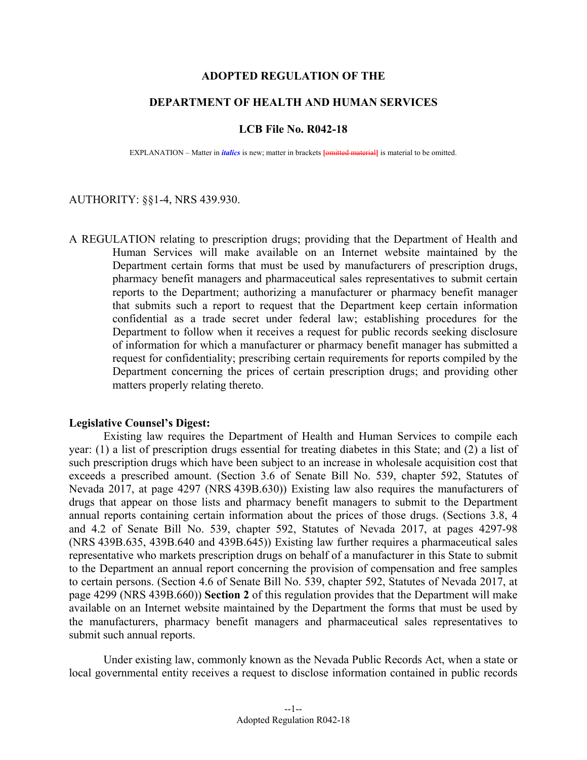## **ADOPTED REGULATION OF THE**

# **DEPARTMENT OF HEALTH AND HUMAN SERVICES**

#### **LCB File No. R042-18**

EXPLANATION – Matter in *italics* is new; matter in brackets **[**omitted material**]** is material to be omitted.

## AUTHORITY: §§1-4, NRS 439.930.

A REGULATION relating to prescription drugs; providing that the Department of Health and Human Services will make available on an Internet website maintained by the Department certain forms that must be used by manufacturers of prescription drugs, pharmacy benefit managers and pharmaceutical sales representatives to submit certain reports to the Department; authorizing a manufacturer or pharmacy benefit manager that submits such a report to request that the Department keep certain information confidential as a trade secret under federal law; establishing procedures for the Department to follow when it receives a request for public records seeking disclosure of information for which a manufacturer or pharmacy benefit manager has submitted a request for confidentiality; prescribing certain requirements for reports compiled by the Department concerning the prices of certain prescription drugs; and providing other matters properly relating thereto.

### **Legislative Counsel's Digest:**

 Existing law requires the Department of Health and Human Services to compile each year: (1) a list of prescription drugs essential for treating diabetes in this State; and (2) a list of such prescription drugs which have been subject to an increase in wholesale acquisition cost that exceeds a prescribed amount. (Section 3.6 of Senate Bill No. 539, chapter 592, Statutes of Nevada 2017, at page 4297 (NRS 439B.630)) Existing law also requires the manufacturers of drugs that appear on those lists and pharmacy benefit managers to submit to the Department annual reports containing certain information about the prices of those drugs. (Sections 3.8, 4 and 4.2 of Senate Bill No. 539, chapter 592, Statutes of Nevada 2017, at pages 4297-98 (NRS 439B.635, 439B.640 and 439B.645)) Existing law further requires a pharmaceutical sales representative who markets prescription drugs on behalf of a manufacturer in this State to submit to the Department an annual report concerning the provision of compensation and free samples to certain persons. (Section 4.6 of Senate Bill No. 539, chapter 592, Statutes of Nevada 2017, at page 4299 (NRS 439B.660)) **Section 2** of this regulation provides that the Department will make available on an Internet website maintained by the Department the forms that must be used by the manufacturers, pharmacy benefit managers and pharmaceutical sales representatives to submit such annual reports.

 Under existing law, commonly known as the Nevada Public Records Act, when a state or local governmental entity receives a request to disclose information contained in public records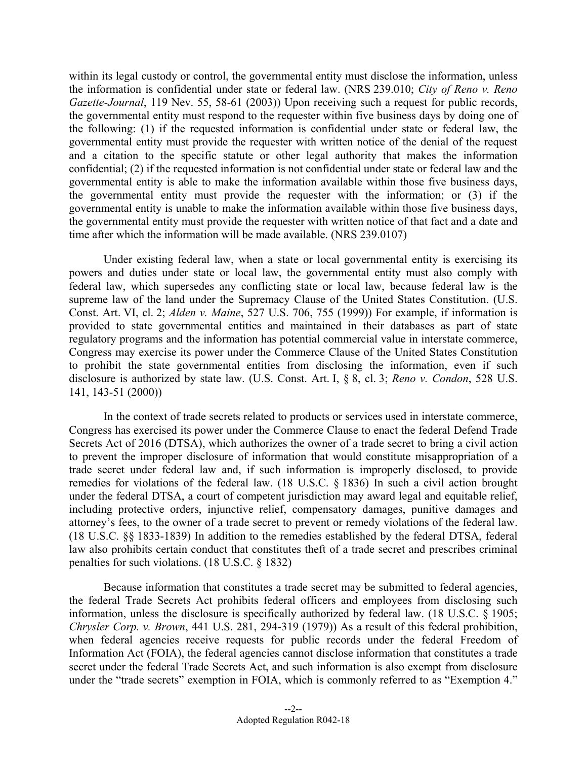within its legal custody or control, the governmental entity must disclose the information, unless the information is confidential under state or federal law. (NRS 239.010; *City of Reno v. Reno Gazette-Journal*, 119 Nev. 55, 58-61 (2003)) Upon receiving such a request for public records, the governmental entity must respond to the requester within five business days by doing one of the following: (1) if the requested information is confidential under state or federal law, the governmental entity must provide the requester with written notice of the denial of the request and a citation to the specific statute or other legal authority that makes the information confidential; (2) if the requested information is not confidential under state or federal law and the governmental entity is able to make the information available within those five business days, the governmental entity must provide the requester with the information; or (3) if the governmental entity is unable to make the information available within those five business days, the governmental entity must provide the requester with written notice of that fact and a date and time after which the information will be made available. (NRS 239.0107)

 Under existing federal law, when a state or local governmental entity is exercising its powers and duties under state or local law, the governmental entity must also comply with federal law, which supersedes any conflicting state or local law, because federal law is the supreme law of the land under the Supremacy Clause of the United States Constitution. (U.S. Const. Art. VI, cl. 2; *Alden v. Maine*, 527 U.S. 706, 755 (1999)) For example, if information is provided to state governmental entities and maintained in their databases as part of state regulatory programs and the information has potential commercial value in interstate commerce, Congress may exercise its power under the Commerce Clause of the United States Constitution to prohibit the state governmental entities from disclosing the information, even if such disclosure is authorized by state law. (U.S. Const. Art. I, § 8, cl. 3; *Reno v. Condon*, 528 U.S. 141, 143-51 (2000))

 In the context of trade secrets related to products or services used in interstate commerce, Congress has exercised its power under the Commerce Clause to enact the federal Defend Trade Secrets Act of 2016 (DTSA), which authorizes the owner of a trade secret to bring a civil action to prevent the improper disclosure of information that would constitute misappropriation of a trade secret under federal law and, if such information is improperly disclosed, to provide remedies for violations of the federal law. (18 U.S.C. § 1836) In such a civil action brought under the federal DTSA, a court of competent jurisdiction may award legal and equitable relief, including protective orders, injunctive relief, compensatory damages, punitive damages and attorney's fees, to the owner of a trade secret to prevent or remedy violations of the federal law. (18 U.S.C. §§ 1833-1839) In addition to the remedies established by the federal DTSA, federal law also prohibits certain conduct that constitutes theft of a trade secret and prescribes criminal penalties for such violations. (18 U.S.C. § 1832)

 Because information that constitutes a trade secret may be submitted to federal agencies, the federal Trade Secrets Act prohibits federal officers and employees from disclosing such information, unless the disclosure is specifically authorized by federal law. (18 U.S.C. § 1905; *Chrysler Corp. v. Brown*, 441 U.S. 281, 294-319 (1979)) As a result of this federal prohibition, when federal agencies receive requests for public records under the federal Freedom of Information Act (FOIA), the federal agencies cannot disclose information that constitutes a trade secret under the federal Trade Secrets Act, and such information is also exempt from disclosure under the "trade secrets" exemption in FOIA, which is commonly referred to as "Exemption 4."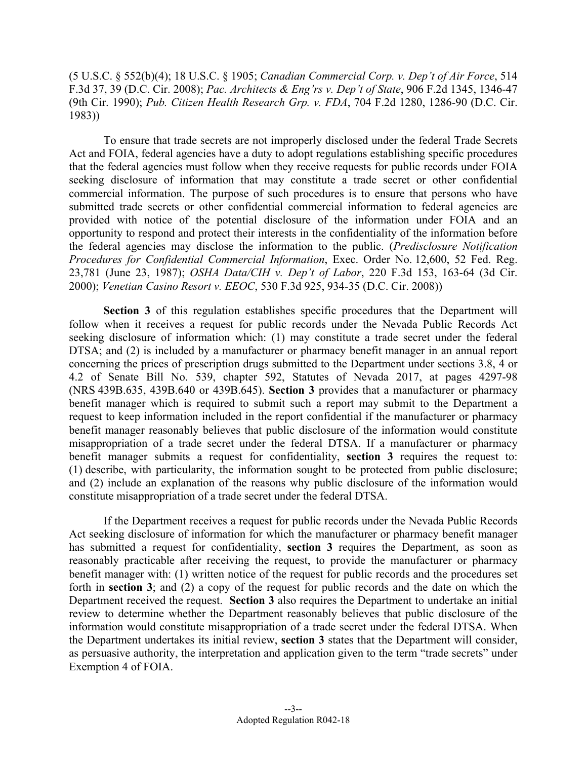(5 U.S.C. § 552(b)(4); 18 U.S.C. § 1905; *Canadian Commercial Corp. v. Dep't of Air Force*, 514 F.3d 37, 39 (D.C. Cir. 2008); *Pac. Architects & Eng'rs v. Dep't of State*, 906 F.2d 1345, 1346-47 (9th Cir. 1990); *Pub. Citizen Health Research Grp. v. FDA*, 704 F.2d 1280, 1286-90 (D.C. Cir. 1983))

 To ensure that trade secrets are not improperly disclosed under the federal Trade Secrets Act and FOIA, federal agencies have a duty to adopt regulations establishing specific procedures that the federal agencies must follow when they receive requests for public records under FOIA seeking disclosure of information that may constitute a trade secret or other confidential commercial information. The purpose of such procedures is to ensure that persons who have submitted trade secrets or other confidential commercial information to federal agencies are provided with notice of the potential disclosure of the information under FOIA and an opportunity to respond and protect their interests in the confidentiality of the information before the federal agencies may disclose the information to the public. (*Predisclosure Notification Procedures for Confidential Commercial Information*, Exec. Order No. 12,600, 52 Fed. Reg. 23,781 (June 23, 1987); *OSHA Data/CIH v. Dep't of Labor*, 220 F.3d 153, 163-64 (3d Cir. 2000); *Venetian Casino Resort v. EEOC*, 530 F.3d 925, 934-35 (D.C. Cir. 2008))

**Section 3** of this regulation establishes specific procedures that the Department will follow when it receives a request for public records under the Nevada Public Records Act seeking disclosure of information which: (1) may constitute a trade secret under the federal DTSA; and (2) is included by a manufacturer or pharmacy benefit manager in an annual report concerning the prices of prescription drugs submitted to the Department under sections 3.8, 4 or 4.2 of Senate Bill No. 539, chapter 592, Statutes of Nevada 2017, at pages 4297-98 (NRS 439B.635, 439B.640 or 439B.645). **Section 3** provides that a manufacturer or pharmacy benefit manager which is required to submit such a report may submit to the Department a request to keep information included in the report confidential if the manufacturer or pharmacy benefit manager reasonably believes that public disclosure of the information would constitute misappropriation of a trade secret under the federal DTSA. If a manufacturer or pharmacy benefit manager submits a request for confidentiality, **section 3** requires the request to: (1) describe, with particularity, the information sought to be protected from public disclosure; and (2) include an explanation of the reasons why public disclosure of the information would constitute misappropriation of a trade secret under the federal DTSA.

 If the Department receives a request for public records under the Nevada Public Records Act seeking disclosure of information for which the manufacturer or pharmacy benefit manager has submitted a request for confidentiality, **section 3** requires the Department, as soon as reasonably practicable after receiving the request, to provide the manufacturer or pharmacy benefit manager with: (1) written notice of the request for public records and the procedures set forth in **section 3**; and (2) a copy of the request for public records and the date on which the Department received the request. **Section 3** also requires the Department to undertake an initial review to determine whether the Department reasonably believes that public disclosure of the information would constitute misappropriation of a trade secret under the federal DTSA. When the Department undertakes its initial review, **section 3** states that the Department will consider, as persuasive authority, the interpretation and application given to the term "trade secrets" under Exemption 4 of FOIA.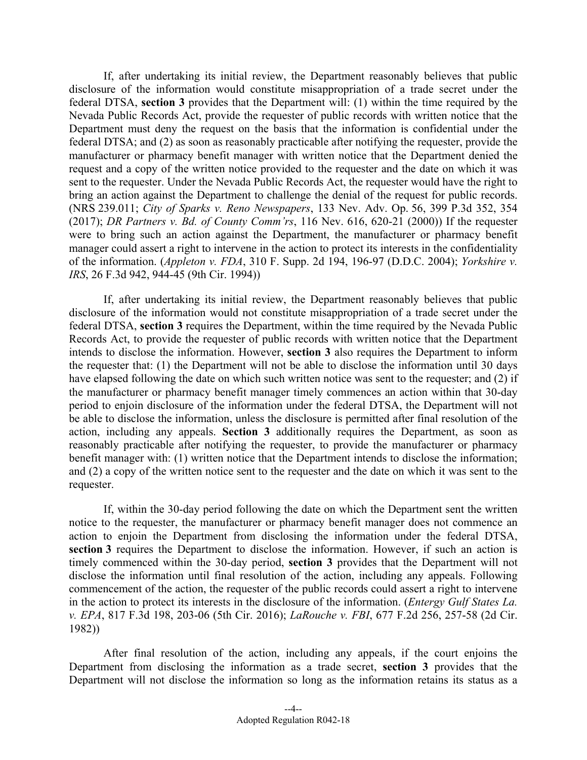If, after undertaking its initial review, the Department reasonably believes that public disclosure of the information would constitute misappropriation of a trade secret under the federal DTSA, **section 3** provides that the Department will: (1) within the time required by the Nevada Public Records Act, provide the requester of public records with written notice that the Department must deny the request on the basis that the information is confidential under the federal DTSA; and (2) as soon as reasonably practicable after notifying the requester, provide the manufacturer or pharmacy benefit manager with written notice that the Department denied the request and a copy of the written notice provided to the requester and the date on which it was sent to the requester. Under the Nevada Public Records Act, the requester would have the right to bring an action against the Department to challenge the denial of the request for public records. (NRS 239.011; *City of Sparks v. Reno Newspapers*, 133 Nev. Adv. Op. 56, 399 P.3d 352, 354 (2017); *DR Partners v. Bd. of County Comm'rs*, 116 Nev. 616, 620-21 (2000)) If the requester were to bring such an action against the Department, the manufacturer or pharmacy benefit manager could assert a right to intervene in the action to protect its interests in the confidentiality of the information. (*Appleton v. FDA*, 310 F. Supp. 2d 194, 196-97 (D.D.C. 2004); *Yorkshire v. IRS*, 26 F.3d 942, 944-45 (9th Cir. 1994))

 If, after undertaking its initial review, the Department reasonably believes that public disclosure of the information would not constitute misappropriation of a trade secret under the federal DTSA, **section 3** requires the Department, within the time required by the Nevada Public Records Act, to provide the requester of public records with written notice that the Department intends to disclose the information. However, **section 3** also requires the Department to inform the requester that: (1) the Department will not be able to disclose the information until 30 days have elapsed following the date on which such written notice was sent to the requester; and (2) if the manufacturer or pharmacy benefit manager timely commences an action within that 30-day period to enjoin disclosure of the information under the federal DTSA, the Department will not be able to disclose the information, unless the disclosure is permitted after final resolution of the action, including any appeals. **Section 3** additionally requires the Department, as soon as reasonably practicable after notifying the requester, to provide the manufacturer or pharmacy benefit manager with: (1) written notice that the Department intends to disclose the information; and (2) a copy of the written notice sent to the requester and the date on which it was sent to the requester.

 If, within the 30-day period following the date on which the Department sent the written notice to the requester, the manufacturer or pharmacy benefit manager does not commence an action to enjoin the Department from disclosing the information under the federal DTSA, section 3 requires the Department to disclose the information. However, if such an action is timely commenced within the 30-day period, **section 3** provides that the Department will not disclose the information until final resolution of the action, including any appeals. Following commencement of the action, the requester of the public records could assert a right to intervene in the action to protect its interests in the disclosure of the information. (*Entergy Gulf States La. v. EPA*, 817 F.3d 198, 203-06 (5th Cir. 2016); *LaRouche v. FBI*, 677 F.2d 256, 257-58 (2d Cir. 1982))

 After final resolution of the action, including any appeals, if the court enjoins the Department from disclosing the information as a trade secret, **section 3** provides that the Department will not disclose the information so long as the information retains its status as a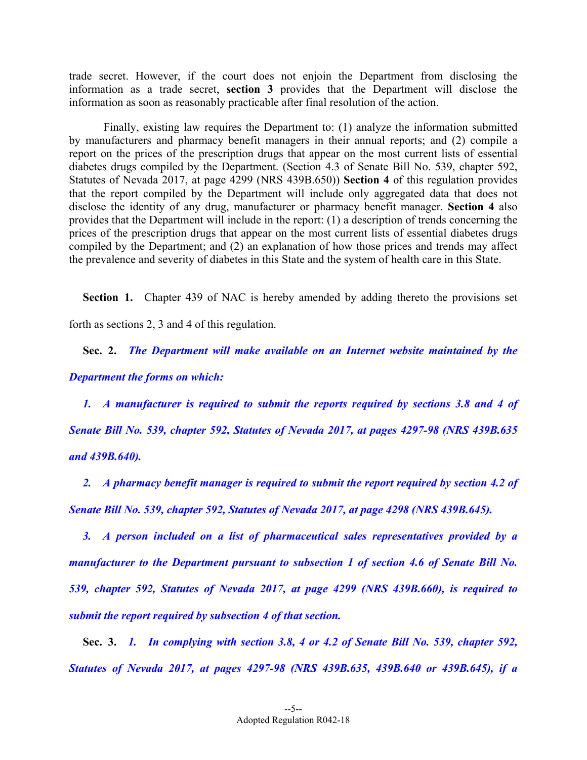trade secret. However, if the court does not enjoin the Department from disclosing the information as a trade secret, **section 3** provides that the Department will disclose the information as soon as reasonably practicable after final resolution of the action.

 Finally, existing law requires the Department to: (1) analyze the information submitted by manufacturers and pharmacy benefit managers in their annual reports; and (2) compile a report on the prices of the prescription drugs that appear on the most current lists of essential diabetes drugs compiled by the Department. (Section 4.3 of Senate Bill No. 539, chapter 592, Statutes of Nevada 2017, at page 4299 (NRS 439B.650)) **Section 4** of this regulation provides that the report compiled by the Department will include only aggregated data that does not disclose the identity of any drug, manufacturer or pharmacy benefit manager. **Section 4** also provides that the Department will include in the report: (1) a description of trends concerning the prices of the prescription drugs that appear on the most current lists of essential diabetes drugs compiled by the Department; and (2) an explanation of how those prices and trends may affect the prevalence and severity of diabetes in this State and the system of health care in this State.

**Section 1.** Chapter 439 of NAC is hereby amended by adding thereto the provisions set forth as sections 2, 3 and 4 of this regulation.

 **Sec. 2.** *The Department will make available on an Internet website maintained by the Department the forms on which:* 

 *1. A manufacturer is required to submit the reports required by sections 3.8 and 4 of Senate Bill No. 539, chapter 592, Statutes of Nevada 2017, at pages 4297-98 (NRS 439B.635 and 439B.640).* 

 *2. A pharmacy benefit manager is required to submit the report required by section 4.2 of Senate Bill No. 539, chapter 592, Statutes of Nevada 2017, at page 4298 (NRS 439B.645).* 

 *3. A person included on a list of pharmaceutical sales representatives provided by a manufacturer to the Department pursuant to subsection 1 of section 4.6 of Senate Bill No. 539, chapter 592, Statutes of Nevada 2017, at page 4299 (NRS 439B.660), is required to submit the report required by subsection 4 of that section.* 

 **Sec. 3.** *1. In complying with section 3.8, 4 or 4.2 of Senate Bill No. 539, chapter 592, Statutes of Nevada 2017, at pages 4297-98 (NRS 439B.635, 439B.640 or 439B.645), if a*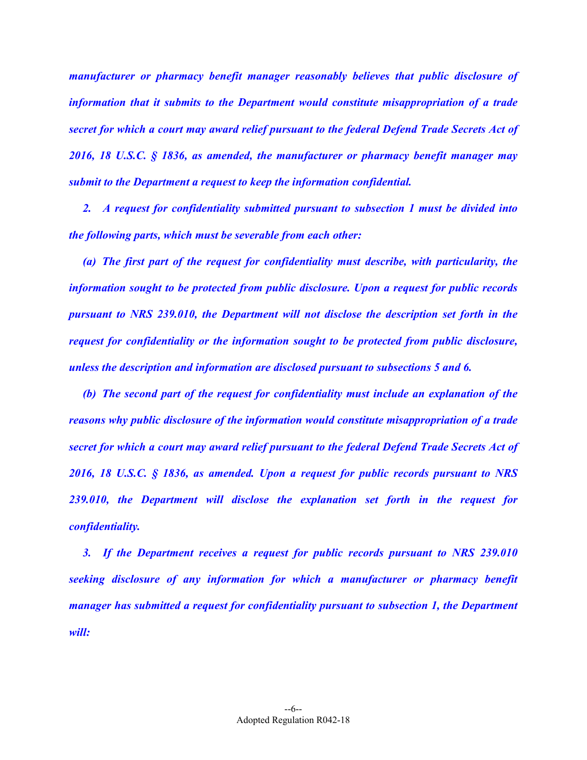*manufacturer or pharmacy benefit manager reasonably believes that public disclosure of information that it submits to the Department would constitute misappropriation of a trade secret for which a court may award relief pursuant to the federal Defend Trade Secrets Act of 2016, 18 U.S.C. § 1836, as amended, the manufacturer or pharmacy benefit manager may submit to the Department a request to keep the information confidential.* 

 *2. A request for confidentiality submitted pursuant to subsection 1 must be divided into the following parts, which must be severable from each other:* 

 *(a) The first part of the request for confidentiality must describe, with particularity, the information sought to be protected from public disclosure. Upon a request for public records pursuant to NRS 239.010, the Department will not disclose the description set forth in the request for confidentiality or the information sought to be protected from public disclosure, unless the description and information are disclosed pursuant to subsections 5 and 6.* 

 *(b) The second part of the request for confidentiality must include an explanation of the reasons why public disclosure of the information would constitute misappropriation of a trade secret for which a court may award relief pursuant to the federal Defend Trade Secrets Act of 2016, 18 U.S.C. § 1836, as amended. Upon a request for public records pursuant to NRS 239.010, the Department will disclose the explanation set forth in the request for confidentiality.* 

 *3. If the Department receives a request for public records pursuant to NRS 239.010 seeking disclosure of any information for which a manufacturer or pharmacy benefit manager has submitted a request for confidentiality pursuant to subsection 1, the Department will:*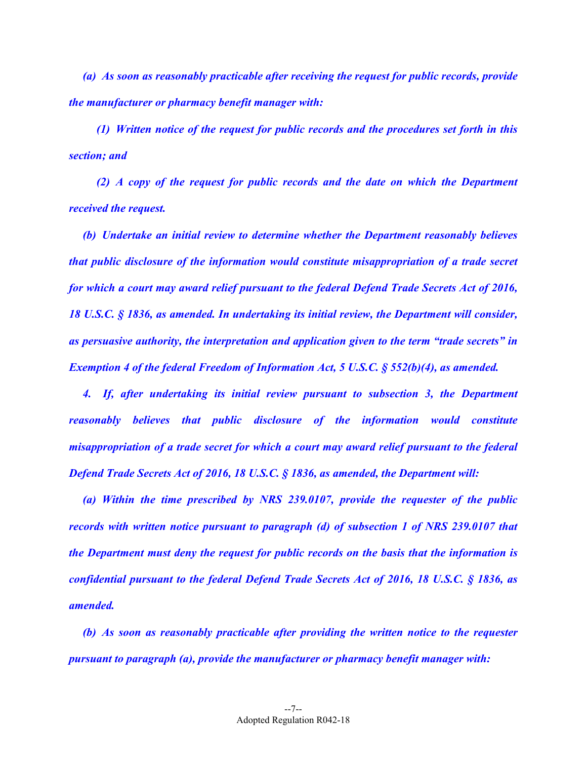*(a) As soon as reasonably practicable after receiving the request for public records, provide the manufacturer or pharmacy benefit manager with:* 

 *(1) Written notice of the request for public records and the procedures set forth in this section; and* 

 *(2) A copy of the request for public records and the date on which the Department received the request.* 

 *(b) Undertake an initial review to determine whether the Department reasonably believes that public disclosure of the information would constitute misappropriation of a trade secret for which a court may award relief pursuant to the federal Defend Trade Secrets Act of 2016, 18 U.S.C. § 1836, as amended. In undertaking its initial review, the Department will consider, as persuasive authority, the interpretation and application given to the term "trade secrets" in Exemption 4 of the federal Freedom of Information Act, 5 U.S.C. § 552(b)(4), as amended.* 

 *4. If, after undertaking its initial review pursuant to subsection 3, the Department reasonably believes that public disclosure of the information would constitute misappropriation of a trade secret for which a court may award relief pursuant to the federal Defend Trade Secrets Act of 2016, 18 U.S.C. § 1836, as amended, the Department will:* 

 *(a) Within the time prescribed by NRS 239.0107, provide the requester of the public records with written notice pursuant to paragraph (d) of subsection 1 of NRS 239.0107 that the Department must deny the request for public records on the basis that the information is confidential pursuant to the federal Defend Trade Secrets Act of 2016, 18 U.S.C. § 1836, as amended.* 

 *(b) As soon as reasonably practicable after providing the written notice to the requester pursuant to paragraph (a), provide the manufacturer or pharmacy benefit manager with:*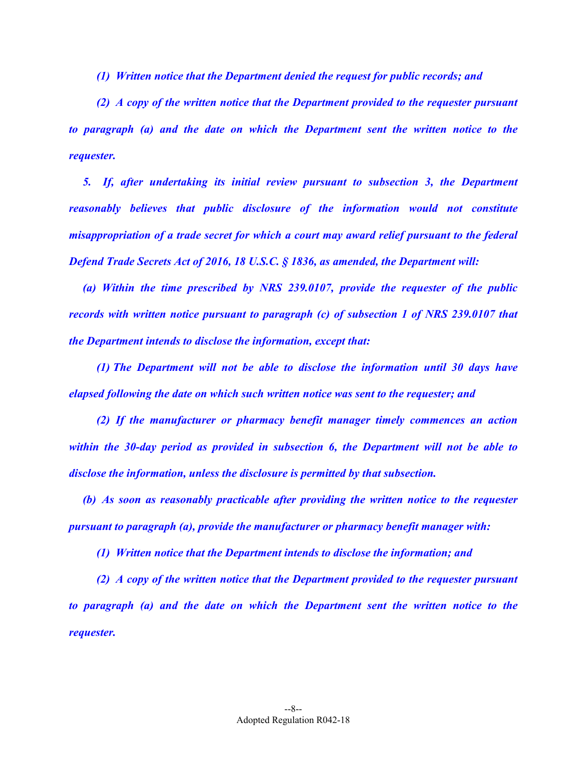*(1) Written notice that the Department denied the request for public records; and* 

 *(2) A copy of the written notice that the Department provided to the requester pursuant to paragraph (a) and the date on which the Department sent the written notice to the requester.* 

 *5. If, after undertaking its initial review pursuant to subsection 3, the Department reasonably believes that public disclosure of the information would not constitute misappropriation of a trade secret for which a court may award relief pursuant to the federal Defend Trade Secrets Act of 2016, 18 U.S.C. § 1836, as amended, the Department will:* 

 *(a) Within the time prescribed by NRS 239.0107, provide the requester of the public records with written notice pursuant to paragraph (c) of subsection 1 of NRS 239.0107 that the Department intends to disclose the information, except that:* 

 *(1) The Department will not be able to disclose the information until 30 days have elapsed following the date on which such written notice was sent to the requester; and* 

 *(2) If the manufacturer or pharmacy benefit manager timely commences an action within the 30-day period as provided in subsection 6, the Department will not be able to disclose the information, unless the disclosure is permitted by that subsection.* 

 *(b) As soon as reasonably practicable after providing the written notice to the requester pursuant to paragraph (a), provide the manufacturer or pharmacy benefit manager with:* 

 *(1) Written notice that the Department intends to disclose the information; and* 

 *(2) A copy of the written notice that the Department provided to the requester pursuant to paragraph (a) and the date on which the Department sent the written notice to the requester.*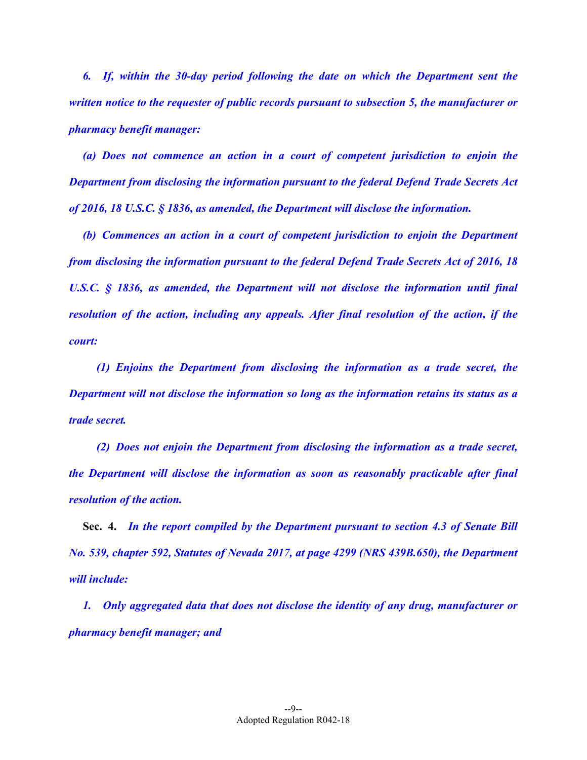*6. If, within the 30-day period following the date on which the Department sent the written notice to the requester of public records pursuant to subsection 5, the manufacturer or pharmacy benefit manager:* 

 *(a) Does not commence an action in a court of competent jurisdiction to enjoin the Department from disclosing the information pursuant to the federal Defend Trade Secrets Act of 2016, 18 U.S.C. § 1836, as amended, the Department will disclose the information.* 

 *(b) Commences an action in a court of competent jurisdiction to enjoin the Department from disclosing the information pursuant to the federal Defend Trade Secrets Act of 2016, 18 U.S.C. § 1836, as amended, the Department will not disclose the information until final resolution of the action, including any appeals. After final resolution of the action, if the court:* 

 *(1) Enjoins the Department from disclosing the information as a trade secret, the Department will not disclose the information so long as the information retains its status as a trade secret.* 

 *(2) Does not enjoin the Department from disclosing the information as a trade secret, the Department will disclose the information as soon as reasonably practicable after final resolution of the action.*

 **Sec. 4.** *In the report compiled by the Department pursuant to section 4.3 of Senate Bill No. 539, chapter 592, Statutes of Nevada 2017, at page 4299 (NRS 439B.650), the Department will include:* 

 *1. Only aggregated data that does not disclose the identity of any drug, manufacturer or pharmacy benefit manager; and*